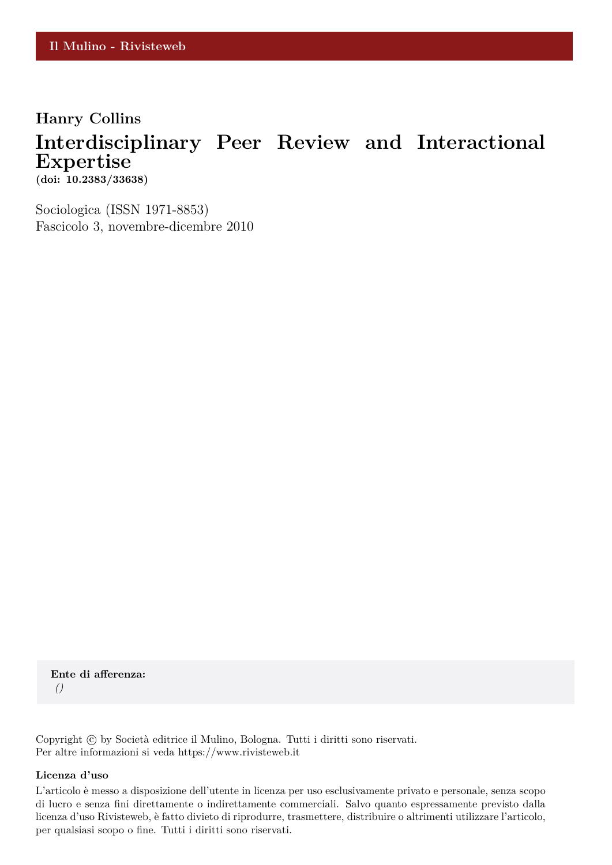### **Hanry Collins**

## **Interdisciplinary Peer Review and Interactional Expertise**

**(doi: 10.2383/33638)**

Sociologica (ISSN 1971-8853) Fascicolo 3, novembre-dicembre 2010

**Ente di afferenza:** *()*

Copyright © by Società editrice il Mulino, Bologna. Tutti i diritti sono riservati. Per altre informazioni si veda https://www.rivisteweb.it

#### **Licenza d'uso**

L'articolo è messo a disposizione dell'utente in licenza per uso esclusivamente privato e personale, senza scopo di lucro e senza fini direttamente o indirettamente commerciali. Salvo quanto espressamente previsto dalla licenza d'uso Rivisteweb, è fatto divieto di riprodurre, trasmettere, distribuire o altrimenti utilizzare l'articolo, per qualsiasi scopo o fine. Tutti i diritti sono riservati.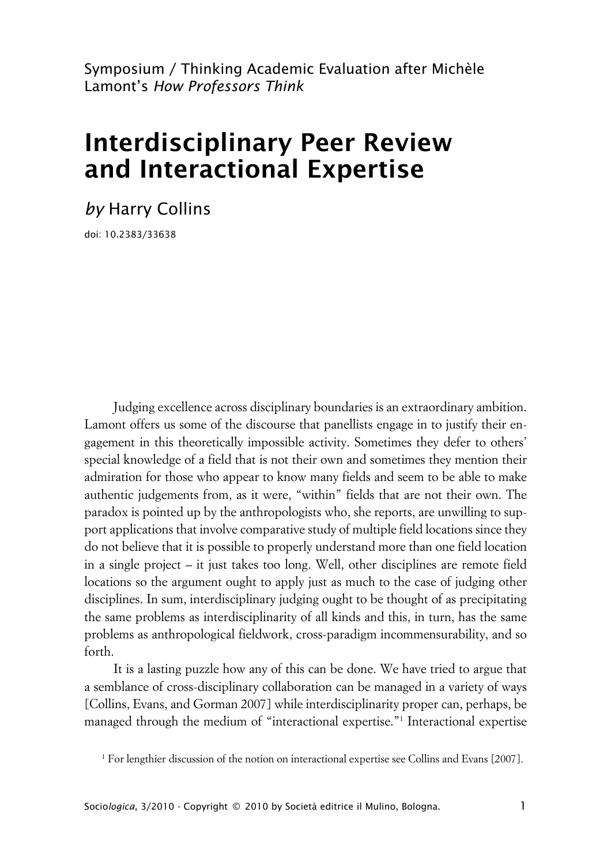Symposium / Thinking Academic Evaluation after Michèle Lamont's *How Professors Think*

# **Interdisciplinary Peer Review and Interactional Expertise**

*by* Harry Collins

doi: 10.2383/33638

Judging excellence across disciplinary boundaries is an extraordinary ambition. Lamont offers us some of the discourse that panellists engage in to justify their engagement in this theoretically impossible activity. Sometimes they defer to others' special knowledge of a field that is not their own and sometimes they mention their admiration for those who appear to know many fields and seem to be able to make authentic judgements from, as it were, "within" fields that are not their own. The paradox is pointed up by the anthropologists who, she reports, are unwilling to support applications that involve comparative study of multiple field locations since they do not believe that it is possible to properly understand more than one field location in a single project – it just takes too long. Well, other disciplines are remote field locations so the argument ought to apply just as much to the case of judging other disciplines. In sum, interdisciplinary judging ought to be thought of as precipitating the same problems as interdisciplinarity of all kinds and this, in turn, has the same problems as anthropological fieldwork, cross-paradigm incommensurability, and so forth.

It is a lasting puzzle how any of this can be done. We have tried to argue that a semblance of cross-disciplinary collaboration can be managed in a variety of ways [Collins, Evans, and Gorman 2007] while interdisciplinarity proper can, perhaps, be managed through the medium of "interactional expertise."<sup>1</sup> Interactional expertise

<sup>1</sup> For lengthier discussion of the notion on interactional expertise see Collins and Evans [2007].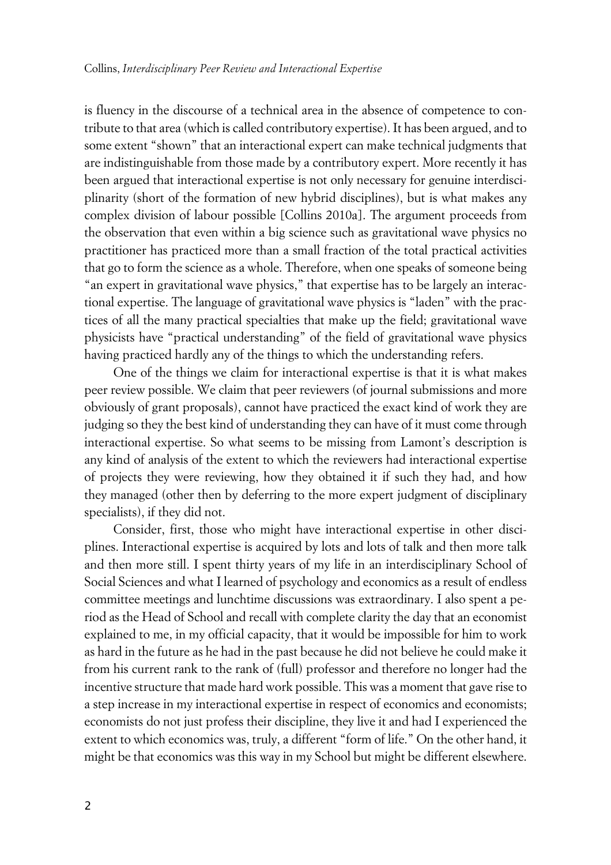is fluency in the discourse of a technical area in the absence of competence to contribute to that area (which is called contributory expertise). It has been argued, and to some extent "shown" that an interactional expert can make technical judgments that are indistinguishable from those made by a contributory expert. More recently it has been argued that interactional expertise is not only necessary for genuine interdisciplinarity (short of the formation of new hybrid disciplines), but is what makes any complex division of labour possible [Collins 2010a]. The argument proceeds from the observation that even within a big science such as gravitational wave physics no practitioner has practiced more than a small fraction of the total practical activities that go to form the science as a whole. Therefore, when one speaks of someone being "an expert in gravitational wave physics," that expertise has to be largely an interactional expertise. The language of gravitational wave physics is "laden" with the practices of all the many practical specialties that make up the field; gravitational wave physicists have "practical understanding" of the field of gravitational wave physics having practiced hardly any of the things to which the understanding refers.

One of the things we claim for interactional expertise is that it is what makes peer review possible. We claim that peer reviewers (of journal submissions and more obviously of grant proposals), cannot have practiced the exact kind of work they are judging so they the best kind of understanding they can have of it must come through interactional expertise. So what seems to be missing from Lamont's description is any kind of analysis of the extent to which the reviewers had interactional expertise of projects they were reviewing, how they obtained it if such they had, and how they managed (other then by deferring to the more expert judgment of disciplinary specialists), if they did not.

Consider, first, those who might have interactional expertise in other disciplines. Interactional expertise is acquired by lots and lots of talk and then more talk and then more still. I spent thirty years of my life in an interdisciplinary School of Social Sciences and what I learned of psychology and economics as a result of endless committee meetings and lunchtime discussions was extraordinary. I also spent a period as the Head of School and recall with complete clarity the day that an economist explained to me, in my official capacity, that it would be impossible for him to work as hard in the future as he had in the past because he did not believe he could make it from his current rank to the rank of (full) professor and therefore no longer had the incentive structure that made hard work possible. This was a moment that gave rise to a step increase in my interactional expertise in respect of economics and economists; economists do not just profess their discipline, they live it and had I experienced the extent to which economics was, truly, a different "form of life." On the other hand, it might be that economics was this way in my School but might be different elsewhere.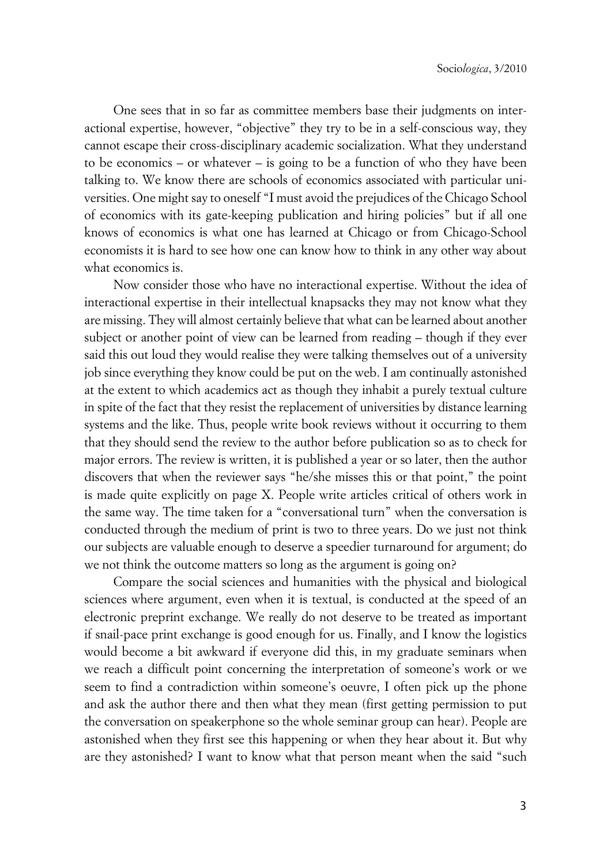One sees that in so far as committee members base their judgments on interactional expertise, however, "objective" they try to be in a self-conscious way, they cannot escape their cross-disciplinary academic socialization. What they understand to be economics – or whatever – is going to be a function of who they have been talking to. We know there are schools of economics associated with particular universities. One might say to oneself "I must avoid the prejudices of the Chicago School of economics with its gate-keeping publication and hiring policies" but if all one knows of economics is what one has learned at Chicago or from Chicago-School economists it is hard to see how one can know how to think in any other way about what economics is.

Now consider those who have no interactional expertise. Without the idea of interactional expertise in their intellectual knapsacks they may not know what they are missing. They will almost certainly believe that what can be learned about another subject or another point of view can be learned from reading – though if they ever said this out loud they would realise they were talking themselves out of a university job since everything they know could be put on the web. I am continually astonished at the extent to which academics act as though they inhabit a purely textual culture in spite of the fact that they resist the replacement of universities by distance learning systems and the like. Thus, people write book reviews without it occurring to them that they should send the review to the author before publication so as to check for major errors. The review is written, it is published a year or so later, then the author discovers that when the reviewer says "he/she misses this or that point," the point is made quite explicitly on page X. People write articles critical of others work in the same way. The time taken for a "conversational turn" when the conversation is conducted through the medium of print is two to three years. Do we just not think our subjects are valuable enough to deserve a speedier turnaround for argument; do we not think the outcome matters so long as the argument is going on?

Compare the social sciences and humanities with the physical and biological sciences where argument, even when it is textual, is conducted at the speed of an electronic preprint exchange. We really do not deserve to be treated as important if snail-pace print exchange is good enough for us. Finally, and I know the logistics would become a bit awkward if everyone did this, in my graduate seminars when we reach a difficult point concerning the interpretation of someone's work or we seem to find a contradiction within someone's oeuvre, I often pick up the phone and ask the author there and then what they mean (first getting permission to put the conversation on speakerphone so the whole seminar group can hear). People are astonished when they first see this happening or when they hear about it. But why are they astonished? I want to know what that person meant when the said "such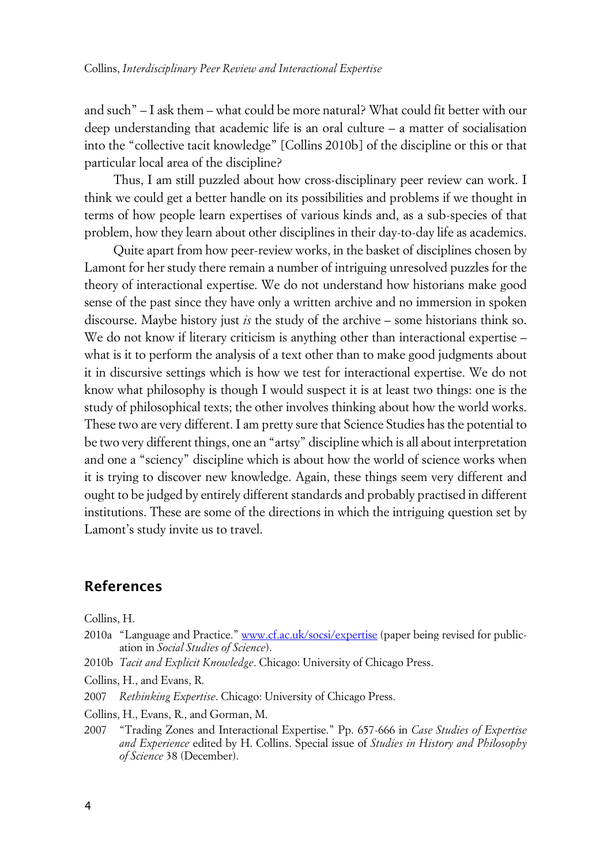and such" – I ask them – what could be more natural? What could fit better with our deep understanding that academic life is an oral culture – a matter of socialisation into the "collective tacit knowledge" [Collins 2010b] of the discipline or this or that particular local area of the discipline?

Thus, I am still puzzled about how cross-disciplinary peer review can work. I think we could get a better handle on its possibilities and problems if we thought in terms of how people learn expertises of various kinds and, as a sub-species of that problem, how they learn about other disciplines in their day-to-day life as academics.

Quite apart from how peer-review works, in the basket of disciplines chosen by Lamont for her study there remain a number of intriguing unresolved puzzles for the theory of interactional expertise. We do not understand how historians make good sense of the past since they have only a written archive and no immersion in spoken discourse. Maybe history just *is* the study of the archive – some historians think so. We do not know if literary criticism is anything other than interactional expertise – what is it to perform the analysis of a text other than to make good judgments about it in discursive settings which is how we test for interactional expertise. We do not know what philosophy is though I would suspect it is at least two things: one is the study of philosophical texts; the other involves thinking about how the world works. These two are very different. I am pretty sure that Science Studies has the potential to be two very different things, one an "artsy" discipline which is all about interpretation and one a "sciency" discipline which is about how the world of science works when it is trying to discover new knowledge. Again, these things seem very different and ought to be judged by entirely different standards and probably practised in different institutions. These are some of the directions in which the intriguing question set by Lamont's study invite us to travel.

### **References**

Collins, H.

- 2010a "Language and Practice." [www.cf.ac.uk/socsi/expertise](http://www.cf.ac.uk/socsi/expertise) (paper being revised for publication in *Social Studies of Science*).
- 2010b *Tacit and Explicit Knowledge*. Chicago: University of Chicago Press.
- Collins, H., and Evans, R.
- 2007 *Rethinking Expertise*. Chicago: University of Chicago Press.

Collins, H., Evans, R., and Gorman, M.

2007 "Trading Zones and Interactional Expertise." Pp. 657-666 in *Case Studies of Expertise and Experience* edited by H. Collins. Special issue of *Studies in History and Philosophy of Science* 38 (December).